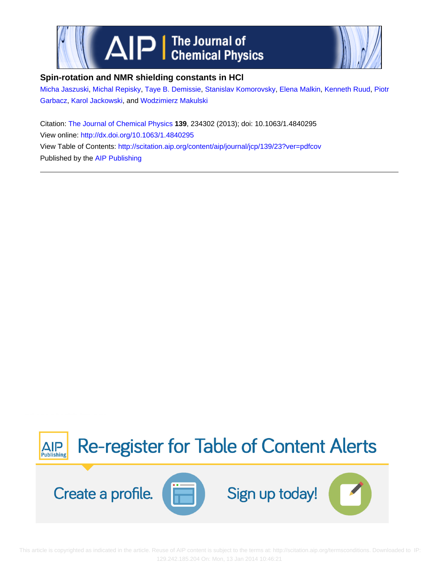



# **Spin-rotation and NMR shielding constants in HCl**

[Micha Jaszuski,](http://scitation.aip.org/search?value1=Micha�+Jaszuski&option1=author) [Michal Repisky,](http://scitation.aip.org/search?value1=Michal+Repisky&option1=author) [Taye B. Demissie](http://scitation.aip.org/search?value1=Taye+B.+Demissie&option1=author), [Stanislav Komorovsky](http://scitation.aip.org/search?value1=Stanislav+Komorovsky&option1=author), [Elena Malkin](http://scitation.aip.org/search?value1=Elena+Malkin&option1=author), [Kenneth Ruud,](http://scitation.aip.org/search?value1=Kenneth+Ruud&option1=author) [Piotr](http://scitation.aip.org/search?value1=Piotr+Garbacz&option1=author) [Garbacz,](http://scitation.aip.org/search?value1=Piotr+Garbacz&option1=author) [Karol Jackowski](http://scitation.aip.org/search?value1=Karol+Jackowski&option1=author), and [Wodzimierz Makulski](http://scitation.aip.org/search?value1=W�odzimierz+Makulski&option1=author)

Citation: [The Journal of Chemical Physics](http://scitation.aip.org/content/aip/journal/jcp?ver=pdfcov) **139**, 234302 (2013); doi: 10.1063/1.4840295 View online: <http://dx.doi.org/10.1063/1.4840295> View Table of Contents: <http://scitation.aip.org/content/aip/journal/jcp/139/23?ver=pdfcov> Published by the [AIP Publishing](http://scitation.aip.org/content/aip?ver=pdfcov)



 This article is copyrighted as indicated in the article. Reuse of AIP content is subject to the terms at: http://scitation.aip.org/termsconditions. Downloaded to IP: 129.242.185.204 On: Mon, 13 Jan 2014 10:46:21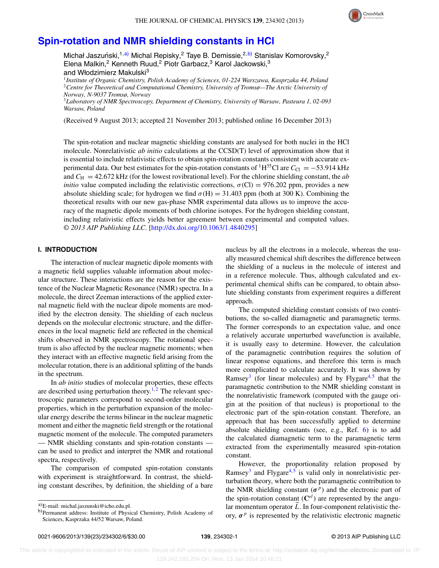

# **[Spin-rotation and NMR shielding constants in HCl](http://dx.doi.org/10.1063/1.4840295)**

Michał Jaszuński,  $1, a$ ) Michal Repisky, <sup>2</sup> Taye B. Demissie,  $2, b$ ) Stanislav Komorovsky, <sup>2</sup> Elena Malkin,<sup>2</sup> Kenneth Ruud,<sup>2</sup> Piotr Garbacz,<sup>3</sup> Karol Jackowski,<sup>3</sup>

and Włodzimierz Makulski<sup>3</sup>

<sup>1</sup>*Institute of Organic Chemistry, Polish Academy of Sciences, 01-224 Warszawa, Kasprzaka 44, Poland* <sup>2</sup>*Centre for Theoretical and Computational Chemistry, University of Tromsø—The Arctic University of Norway, N-9037 Tromsø, Norway*

<sup>3</sup>*Laboratory of NMR Spectroscopy, Department of Chemistry, University of Warsaw, Pasteura 1, 02-093 Warsaw, Poland*

(Received 9 August 2013; accepted 21 November 2013; published online 16 December 2013)

The spin-rotation and nuclear magnetic shielding constants are analysed for both nuclei in the HCl molecule. Nonrelativistic *ab initio* calculations at the CCSD(T) level of approximation show that it is essential to include relativistic effects to obtain spin-rotation constants consistent with accurate experimental data. Our best estimates for the spin-rotation constants of <sup>1</sup>H<sup>35</sup>Cl are  $C_{\text{Cl}} = -53.914 \text{ kHz}$ and  $C_H = 42.672 \text{ kHz}$  (for the lowest rovibrational level). For the chlorine shielding constant, the *ab initio* value computed including the relativistic corrections,  $\sigma$ (Cl) = 976.202 ppm, provides a new absolute shielding scale; for hydrogen we find  $\sigma(H) = 31.403$  ppm (both at 300 K). Combining the theoretical results with our new gas-phase NMR experimental data allows us to improve the accuracy of the magnetic dipole moments of both chlorine isotopes. For the hydrogen shielding constant, including relativistic effects yields better agreement between experimental and computed values. *© 2013 AIP Publishing LLC*. [\[http://dx.doi.org/10.1063/1.4840295\]](http://dx.doi.org/10.1063/1.4840295)

## **I. INTRODUCTION**

The interaction of nuclear magnetic dipole moments with a magnetic field supplies valuable information about molecular structure. These interactions are the reason for the existence of the Nuclear Magnetic Resonance (NMR) spectra. In a molecule, the direct Zeeman interactions of the applied external magnetic field with the nuclear dipole moments are modified by the electron density. The shielding of each nucleus depends on the molecular electronic structure, and the differences in the local magnetic field are reflected in the chemical shifts observed in NMR spectroscopy. The rotational spectrum is also affected by the nuclear magnetic moments; when they interact with an effective magnetic field arising from the molecular rotation, there is an additional splitting of the bands in the spectrum.

In *ab initio* studies of molecular properties, these effects are described using perturbation theory.<sup>1, [2](#page-6-1)</sup> The relevant spectroscopic parameters correspond to second-order molecular properties, which in the perturbation expansion of the molecular energy describe the terms bilinear in the nuclear magnetic moment and either the magnetic field strength or the rotational magnetic moment of the molecule. The computed parameters — NMR shielding constants and spin-rotation constants can be used to predict and interpret the NMR and rotational spectra, respectively.

The comparison of computed spin-rotation constants with experiment is straightforward. In contrast, the shielding constant describes, by definition, the shielding of a bare nucleus by all the electrons in a molecule, whereas the usually measured chemical shift describes the difference between the shielding of a nucleus in the molecule of interest and in a reference molecule. Thus, although calculated and experimental chemical shifts can be compared, to obtain absolute shielding constants from experiment requires a different approach.

The computed shielding constant consists of two contributions, the so-called diamagnetic and paramagnetic terms. The former corresponds to an expectation value, and once a relatively accurate unperturbed wavefunction is available, it is usually easy to determine. However, the calculation of the paramagnetic contribution requires the solution of linear response equations, and therefore this term is much more complicated to calculate accurately. It was shown by Ramsey<sup>3</sup> (for linear molecules) and by Flygare<sup>[4,](#page-6-3)[5](#page-6-4)</sup> that the paramagnetic contribution to the NMR shielding constant in the nonrelativistic framework (computed with the gauge origin at the position of that nucleus) is proportional to the electronic part of the spin-rotation constant. Therefore, an approach that has been successfully applied to determine absolute shielding constants (see, e.g., Ref. [6\)](#page-6-5) is to add the calculated diamagnetic term to the paramagnetic term extracted from the experimentally measured spin-rotation constant.

However, the proportionality relation proposed by Ramsey<sup>3</sup> and Flygare<sup>[4,](#page-6-3)[5](#page-6-4)</sup> is valid only in nonrelativistic perturbation theory, where both the paramagnetic contribution to the NMR shielding constant  $(\sigma^p)$  and the electronic part of the spin-rotation constant  $(\mathbb{C}^{el})$  are represented by the angular momentum operator *L*-. In four-component relativistic theory,  $\sigma$ <sup>*p*</sup> is represented by the relativistic electronic magnetic

<span id="page-1-0"></span>a)E-mail: [michal.jaszunski@icho.edu.pl.](mailto: michal.jaszunski@icho.edu.pl)

<span id="page-1-1"></span>b)Permanent address: Institute of Physical Chemistry, Polish Academy of Sciences, Kasprzaka 44/52 Warsaw, Poland.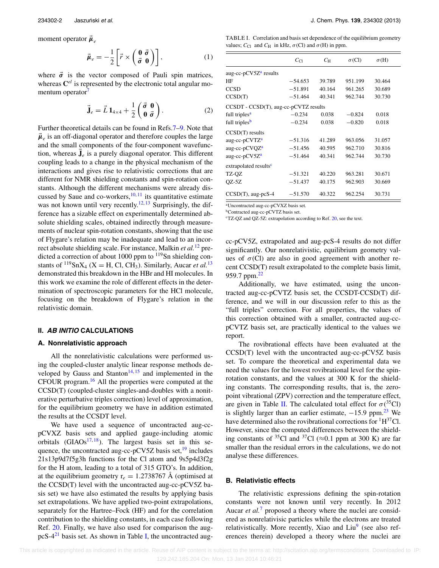moment operator  $\vec{\mu}_e$ 

$$
\vec{\mu}_e = -\frac{1}{2} \left[ \vec{r} \times \begin{pmatrix} 0 & \vec{\sigma} \\ \vec{\sigma} & 0 \end{pmatrix} \right],\tag{1}
$$

where  $\vec{\sigma}$  is the vector composed of Pauli spin matrices, whereas  $\mathbf{C}^{el}$  is represented by the electronic total angular mo-mentum operator<sup>[7](#page-6-6)</sup>

$$
\vec{\mathbf{J}}_e = \vec{L} \, \mathbf{1}_{4 \times 4} + \frac{1}{2} \begin{pmatrix} \vec{\sigma} & \mathbf{0} \\ \mathbf{0} & \vec{\sigma} \end{pmatrix} . \tag{2}
$$

Further theoretical details can be found in Refs[.7–](#page-6-6)[9.](#page-6-7) Note that  $\vec{\mu}_e$  is an off-diagonal operator and therefore couples the large and the small components of the four-component wavefunction, whereas  $J_e$  is a purely diagonal operator. This different coupling leads to a change in the physical mechanism of the interactions and gives rise to relativistic corrections that are different for NMR shielding constants and spin-rotation constants. Although the different mechanisms were already discussed by Saue and co-workers,  $10, 11$  $10, 11$  its quantitative estimate was not known until very recently.<sup>12, [13](#page-6-11)</sup> Surprisingly, the difference has a sizable effect on experimentally determined absolute shielding scales, obtained indirectly through measurements of nuclear spin-rotation constants, showing that the use of Flygare's relation may be inadequate and lead to an incorrect absolute shielding scale. For instance, Malkin *et al.*[12](#page-6-10) predicted a correction of about 1000 ppm to <sup>119</sup>Sn shielding constants of <sup>119</sup>SnX<sub>4</sub> (X = H, Cl, CH<sub>3</sub>). Similarly, Aucar *et al.*<sup>[13](#page-6-11)</sup> demonstrated this breakdown in the HBr and HI molecules. In this work we examine the role of different effects in the determination of spectroscopic parameters for the HCl molecule, focusing on the breakdown of Flygare's relation in the relativistic domain.

#### **II. AB INITIO CALCULATIONS**

### **A. Nonrelativistic approach**

All the nonrelativistic calculations were performed using the coupled-cluster analytic linear response methods de-veloped by Gauss and Stanton<sup>[14,](#page-6-12) [15](#page-6-13)</sup> and implemented in the CFOUR program.[16](#page-6-14) All the properties were computed at the CCSD(T) (coupled-cluster singles-and-doubles with a noniterative perturbative triples correction) level of approximation, for the equilibrium geometry we have in addition estimated the results at the CCSDT level.

We have used a sequence of uncontracted aug-ccpCVXZ basis sets and applied gauge-including atomic orbitals (GIAOs<sup>[17,](#page-6-15) 18</sup>). The largest basis set in this sequence, the uncontracted aug-cc-pCV5Z basis set, $^{19}$  includes 21s13p9d7f5g3h functions for the Cl atom and 9s5p4d3f2g for the H atom, leading to a total of 315 GTO's. In addition, at the equilibrium geometry  $r_e = 1.2738767$  Å (optimised at the CCSD(T) level with the uncontracted aug-cc-pCV5Z basis set) we have also estimated the results by applying basis set extrapolations. We have applied two-point extrapolations, separately for the Hartree–Fock (HF) and for the correlation contribution to the shielding constants, in each case following Ref. [20.](#page-6-18) Finally, we have also used for comparison the aug $pcS-4<sup>21</sup>$  basis set. As shown in Table [I,](#page-2-0) the uncontracted aug-

<span id="page-2-0"></span>TABLE I. Correlation and basis set dependence of the equilibrium geometry values;  $C_{\text{Cl}}$  and  $C_{\text{H}}$  in kHz,  $\sigma$ (Cl) and  $\sigma$ (H) in ppm.

|                                       | $C_{\text{Cl}}$ | $C_{\rm H}$ | $\sigma$ (Cl) | $\sigma(H)$ |  |  |  |
|---------------------------------------|-----------------|-------------|---------------|-------------|--|--|--|
| aug-cc-p $CV5Za$ results              |                 |             |               |             |  |  |  |
| ΗF                                    | $-54.653$       | 39.789      | 951.199       | 30.464      |  |  |  |
| CCSD                                  | $-51.891$       | 40.164      | 961.265       | 30.689      |  |  |  |
| CCSD(T)                               | $-51.464$       | 40.341      | 962.744       | 30.730      |  |  |  |
| CCSDT - CCSD(T), aug-cc-pCVTZ results |                 |             |               |             |  |  |  |
| full triples <sup>a</sup>             | $-0.234$        | 0.038       | $-0.824$      | 0.018       |  |  |  |
| full triples <sup>b</sup>             | $-0.234$        | 0.038       | $-0.820$      | 0.018       |  |  |  |
| $CCSD(T)$ results                     |                 |             |               |             |  |  |  |
| aug-cc-pCVTZ <sup>a</sup>             | $-51.316$       | 41.289      | 963.056       | 31.057      |  |  |  |
| aug-cc-pCVQZ <sup>a</sup>             | $-51.456$       | 40.595      | 962.710       | 30.816      |  |  |  |
| aug-cc-p $CV5Z^a$                     | $-51.464$       | 40.341      | 962.744       | 30.730      |  |  |  |
| extrapolated results <sup>c</sup>     |                 |             |               |             |  |  |  |
| TZ-OZ                                 | $-51.321$       | 40.220      | 963.281       | 30.671      |  |  |  |
| $OZ-5Z$                               | $-51.437$       | 40.175      | 962.903       | 30.669      |  |  |  |
| $CCSD(T)$ , aug-pcS-4                 | $-51.570$       | 40.322      | 962.254       | 30.731      |  |  |  |

<span id="page-2-1"></span>aUncontracted aug-cc-pCVXZ basis set.

bContracted aug-cc-pCVTZ basis set.

<span id="page-2-3"></span><span id="page-2-2"></span>cTZ-QZ and QZ-5Z: extrapolation according to Ref. [20,](#page-6-18) see the text.

cc-pCV5Z, extrapolated and aug-pcS-4 results do not differ significantly. Our nonrelativistic, equilibrium geometry values of  $\sigma$ (Cl) are also in good agreement with another recent CCSD(T) result extrapolated to the complete basis limit, 959.7 ppm.<sup>[22](#page-6-20)</sup>

Additionally, we have estimated, using the uncontracted aug-cc-pCVTZ basis set, the CCSDT-CCSD(T) difference, and we will in our discussion refer to this as the "full triples" correction. For all properties, the values of this correction obtained with a smaller, contracted aug-ccpCVTZ basis set, are practically identical to the values we report.

The rovibrational effects have been evaluated at the CCSD(T) level with the uncontracted aug-cc-pCV5Z basis set. To compare the theoretical and experimental data we need the values for the lowest rovibrational level for the spinrotation constants, and the values at 300 K for the shielding constants. The corresponding results, that is, the zeropoint vibrational (ZPV) correction and the temperature effect, are given in Table [II.](#page-3-0) The calculated total effect for  $\sigma$ <sup>(35</sup>Cl) is slightly larger than an earlier estimate,  $-15.9$  ppm.<sup>[23](#page-6-21)</sup> We have determined also the rovibrational corrections for  ${}^{1}H^{37}Cl$ . However, since the computed differences between the shielding constants of <sup>35</sup>Cl and <sup>37</sup>Cl ( $\approx$ 0.1 ppm at 300 K) are far smaller than the residual errors in the calculations, we do not analyse these differences.

## **B. Relativistic effects**

The relativistic expressions defining the spin-rotation constants were not known until very recently. In 2012 Aucar *et al.*<sup>[7](#page-6-6)</sup> proposed a theory where the nuclei are considered as nonrelativisic particles while the electrons are treated relativistically. More recently, Xiao and Liu $<sup>9</sup>$  $<sup>9</sup>$  $<sup>9</sup>$  (see also ref-</sup> erences therein) developed a theory where the nuclei are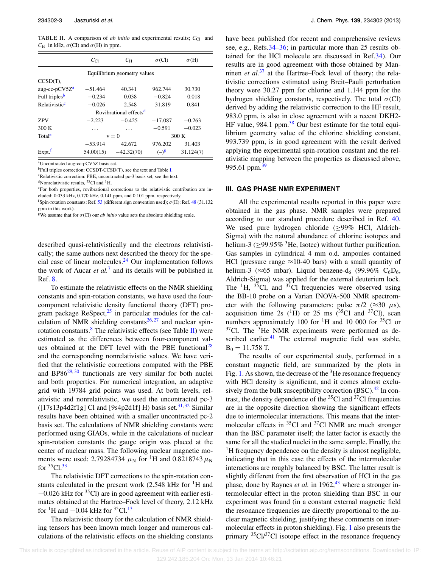<span id="page-3-0"></span>TABLE II. A comparison of  $ab$  *initio* and experimental results;  $C_{Cl}$  and *C*H in kHz,  $\sigma$ (Cl) and  $\sigma$ (H) in ppm.

|                                    | $C_{\text{Cl}}$ | $C_{\rm H}$  | $\sigma$ (Cl) | $\sigma(H)$ |  |  |  |
|------------------------------------|-----------------|--------------|---------------|-------------|--|--|--|
| Equilibrium geometry values        |                 |              |               |             |  |  |  |
| $CCSD(T)$ ,                        |                 |              |               |             |  |  |  |
| aug-cc-p $CV5Z^a$                  | $-51.464$       | 40.341       | 962.744       | 30.730      |  |  |  |
| Full triples <sup>b</sup>          | $-0.234$        | 0.038        | $-0.824$      | 0.018       |  |  |  |
| Relativistic <sup>c</sup>          | $-0.026$        | 2.548        | 31.819        | 0.841       |  |  |  |
| Rovibrational effects <sup>d</sup> |                 |              |               |             |  |  |  |
| <b>ZPV</b>                         | $-2.223$        | $-0.425$     | $-17.087$     | $-0.263$    |  |  |  |
| 300 K                              |                 | $\cdots$     | $-0.591$      | $-0.023$    |  |  |  |
| Totale                             | $v = 0$         |              | 300 K         |             |  |  |  |
|                                    | $-53.914$       | 42.672       | 976.202       | 31.403      |  |  |  |
| $Expt.$ <sup>1</sup>               | 54.00(15)       | $-42.32(70)$ | $(-)^g$       | 31.124(7)   |  |  |  |

aUncontracted aug-cc-pCV5Z basis set.

<span id="page-3-1"></span><sup>b</sup>Full triples correction: CCSDT-CCSD(T), see the text and Table [I.](#page-2-0)

<span id="page-3-2"></span><sup>c</sup>Relativistic correction: PBE, uncontracted pc-3 basis set, see the text.

<span id="page-3-3"></span><sup>d</sup>Nonrelativistic results, <sup>35</sup>Cl and <sup>1</sup>H.

<span id="page-3-5"></span><span id="page-3-4"></span>eFor both properties, rovibrational corrections to the relativistic contribution are included: 0.033 kHz, 0.170 kHz, 0.141 ppm, and 0.101 ppm, respectively.

<span id="page-3-6"></span>f Spin-rotation constants: Ref. [53](#page-6-22) (different sign convention used); *σ*(H): Ref. [48](#page-6-23) (31.132 ppm in this work).

<span id="page-3-7"></span><sup>g</sup>We assume that for  $σ(Cl)$  our *ab initio* value sets the absolute shielding scale.

described quasi-relativistically and the electrons relativistically; the same authors next described the theory for the special case of linear molecules. $24$  Our implementation follows the work of Aucar *et al.*[7](#page-6-6) and its details will be published in Ref. [8.](#page-6-25)

To estimate the relativistic effects on the NMR shielding constants and spin-rotation constants, we have used the fourcomponent relativistic density functional theory (DFT) program package ReSpect, $25$  in particular modules for the cal-culation of NMR shielding constants<sup>26, [27](#page-6-28)</sup> and nuclear spin-rotation constants.<sup>8</sup> The relativistic effects (see Table [II\)](#page-3-0) were estimated as the differences between four-component val-ues obtained at the DFT level with the PBE functional<sup>[28](#page-6-29)</sup> and the corresponding nonrelativistic values. We have verified that the relativistic corrections computed with the PBE and BP8 $6^{29,30}$  $6^{29,30}$  $6^{29,30}$  functionals are very similar for both nuclei and both properties. For numerical integration, an adaptive grid with 19784 grid points was used. At both levels, relativistic and nonrelativistic, we used the uncontracted pc-3  $([17s13p4d2f1g]$  Cl and  $[9s4p2d1f]$  H) basis set.<sup>[31,](#page-6-32)[32](#page-6-33)</sup> Similar results have been obtained with a smaller uncontracted pc-2 basis set. The calculations of NMR shielding constants were performed using GIAOs, while in the calculations of nuclear spin-rotation constants the gauge origin was placed at the center of nuclear mass. The following nuclear magnetic moments were used: 2.79284734  $\mu$ <sub>N</sub> for <sup>1</sup>H and 0.8218743  $\mu$ <sub>N</sub> for  ${}^{35}$ Cl.<sup>33</sup>

The relativistic DFT corrections to the spin-rotation constants calculated in the present work  $(2.548 \text{ kHz for }^{1}H \text{ and }$  $-0.026$  kHz for <sup>35</sup>Cl) are in good agreement with earlier estimates obtained at the Hartree–Fock level of theory, 2.12 kHz for <sup>1</sup>H and  $-0.04$  kHz for <sup>35</sup>Cl.<sup>13</sup>

The relativistic theory for the calculation of NMR shielding tensors has been known much longer and numerous calculations of the relativistic effects on the shielding constants have been published (for recent and comprehensive reviews see, e.g., Refs[.34–](#page-6-35)[36;](#page-6-36) in particular more than 25 results obtained for the HCl molecule are discussed in Ref[.34\)](#page-6-35). Our results are in good agreement with those obtained by Manninen *et al.*[37](#page-6-37) at the Hartree–Fock level of theory; the relativistic corrections estimated using Breit–Pauli perturbation theory were 30.27 ppm for chlorine and 1.144 ppm for the hydrogen shielding constants, respectively. The total  $\sigma$ (Cl) derived by adding the relativistic correction to the HF result, 983.0 ppm, is also in close agreement with a recent DKH2- HF value, 984.1 ppm.<sup>[38](#page-6-38)</sup> Our best estimate for the total equilibrium geometry value of the chlorine shielding constant, 993.739 ppm, is in good agreement with the result derived applying the experimental spin-rotation constant and the relativistic mapping between the properties as discussed above, 995.61 ppm. $39$ 

### <span id="page-3-8"></span>**III. GAS PHASE NMR EXPERIMENT**

All the experimental results reported in this paper were obtained in the gas phase. NMR samples were prepared according to our standard procedure described in Ref. [40.](#page-6-40) We used pure hydrogen chloride  $(\geq)9\%$  HCl, Aldrich-Sigma) with the natural abundance of chlorine isotopes and helium-3 ( $\geq$ 99.95% <sup>3</sup>He, Isotec) without further purification. Gas samples in cylindrical 4 mm o.d. ampoules contained HCl (pressure range  $\approx$ 10-40 bars) with a small quantity of helium-3 ( $\approx$ 65 mbar). Liquid benzene-d<sub>6</sub> (99.96% C<sub>6</sub>D<sub>6</sub>, Aldrich-Sigma) was applied for the external deuterium lock. The  ${}^{1}$ H,  ${}^{35}$ Cl, and  ${}^{37}$ Cl frequencies were observed using the BB-10 probe on a Varian INOVA-500 NMR spectrometer with the following parameters: pulse  $\pi/2$  ( $\approx 30 \mu s$ ), acquisition time 2s ( ${}^{1}$ H) or 25 ms ( ${}^{35}$ Cl and  ${}^{37}$ Cl), scan numbers approximately 100 for  ${}^{1}$ H and 10 000 for  ${}^{35}$ Cl or  $37$ Cl. The  $3$ He NMR experiments were performed as de-scribed earlier.<sup>[41](#page-6-41)</sup> The external magnetic field was stable,  $B_0 = 11.758$  T.

The results of our experimental study, performed in a constant magnetic field, are summarized by the plots in Fig. [1.](#page-4-0) As shown, the decrease of the  ${}^{3}$ He resonance frequency with HCl density is significant, and it comes almost exclusively from the bulk susceptibility correction  $(BSC)^{42}$  In contrast, the density dependence of the  ${}^{35}$ Cl and  ${}^{37}$ Cl frequencies are in the opposite direction showing the significant effects due to intermolecular interactions. This means that the intermolecular effects in  ${}^{35}$ Cl and  ${}^{37}$ Cl NMR are much stronger than the BSC parameter itself; the latter factor is exactly the same for all the studied nuclei in the same sample. Finally, the <sup>1</sup>H frequency dependence on the density is almost negligible, indicating that in this case the effects of the intermolecular interactions are roughly balanced by BSC. The latter result is slightly different from the first observation of HCl in the gas phase, done by Raynes *et al.* in  $1962<sup>43</sup>$  where a stronger intermolecular effect in the proton shielding than BSC in our experiment was found (in a constant external magnetic field the resonance frequencies are directly proportional to the nuclear magnetic shielding, justifying these comments on intermolecular effects in proton shielding). Fig. [1](#page-4-0) also presents the primary  ${}^{35}$ Cl/ ${}^{37}$ Cl isotope effect in the resonance frequency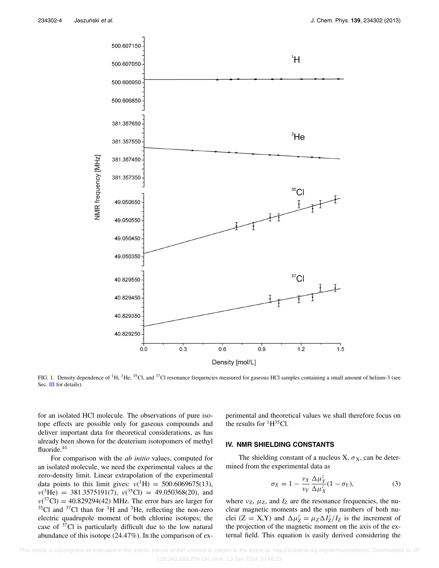<span id="page-4-0"></span>

FIG. 1. Density dependence of <sup>1</sup>H, <sup>3</sup>He, <sup>35</sup>Cl, and <sup>37</sup>Cl resonance frequencies measured for gaseous HCl samples containing a small amount of helium-3 (see Sec. [III](#page-3-8) for details).

for an isolated HCl molecule. The observations of pure isotope effects are possible only for gaseous compounds and deliver important data for theoretical considerations, as has already been shown for the deuterium isotopomers of methyl fluoride.<sup>[44](#page-6-44)</sup>

For comparison with the *ab initio* values, computed for an isolated molecule, we need the experimental values at the zero-density limit. Linear extrapolation of the experimental data points to this limit gives:  $v(^{1}H) = 500.6069675(13)$ ,  $v(^{3}He) = 381.3575191(7)$ ,  $v(^{35}Cl) = 49.050368(20)$ , and  $v(^{37}Cl) = 40.829294(42)$  MHz. The error bars are larger for  $35^{\circ}$ Cl and  $37^{\circ}$ Cl than for <sup>1</sup>H and <sup>3</sup>He, reflecting the non-zero electric quadrupole moment of both chlorine isotopes; the case of  $37$ Cl is particularly difficult due to the low natural abundance of this isotope (24.47%). In the comparison of experimental and theoretical values we shall therefore focus on the results for  ${}^{1}H^{35}Cl$ .

#### **IV. NMR SHIELDING CONSTANTS**

The shielding constant of a nucleus  $X$ ,  $\sigma_X$ , can be determined from the experimental data as

<span id="page-4-1"></span>
$$
\sigma_X = 1 - \frac{\nu_X}{\nu_Y} \frac{\Delta \mu_Y^z}{\Delta \mu_X^z} (1 - \sigma_Y), \tag{3}
$$

where  $v_Z$ ,  $\mu_Z$ , and  $I_Z$  are the resonance frequencies, the nuclear magnetic moments and the spin numbers of both nuclei  $(Z = X, Y)$  and  $\Delta \mu_Z^z = \mu_Z \Delta I_Z^z / I_Z$  is the increment of the projection of the magnetic moment on the axis of the external field. This equation is easily derived considering the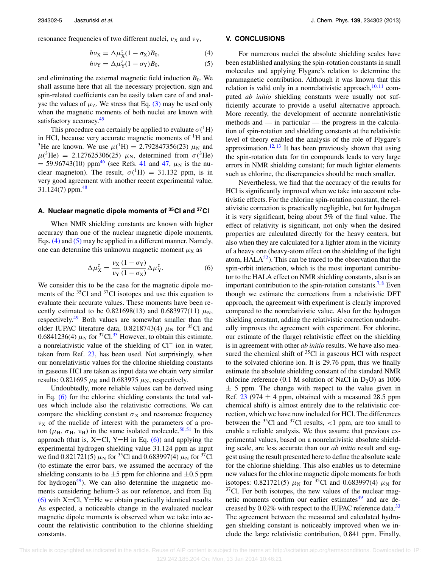resonance frequencies of two different nuclei, *ν*<sub>X</sub> and *ν*<sub>Y</sub>,

<span id="page-5-0"></span>
$$
h\nu_X = \Delta \mu_X^z (1 - \sigma_X) B_0,\tag{4}
$$

<span id="page-5-1"></span>
$$
h\nu_Y = \Delta \mu_Y^z (1 - \sigma_Y) B_0,\tag{5}
$$

and eliminating the external magnetic field induction  $B_0$ . We shall assume here that all the necessary projection, sign and spin-related coefficients can be easily taken care of and analyse the values of  $\mu$ <sub>Z</sub>. We stress that Eq. [\(3\)](#page-4-1) may be used only when the magnetic moments of both nuclei are known with satisfactory accuracy.<sup>[45](#page-6-45)</sup>

This procedure can certainly be applied to evaluate  $\sigma(^1H)$ in HCl, because very accurate magnetic moments of  ${}^{1}H$  and <sup>3</sup>He are known. We use  $\mu$ <sup>(1</sup>H) = 2.792847356(23)  $\mu$ <sub>N</sub> and  $\mu$ <sup>3</sup>He) = 2.127625306(25)  $\mu$ <sub>N</sub>, determined from  $\sigma$ <sup>3</sup>He)  $=$  59.96743(10) ppm<sup>46</sup> (see Refs. [41](#page-6-41) and [47,](#page-6-47)  $\mu$ <sub>N</sub> is the nuclear magneton). The result,  $\sigma(^1H) = 31.132$  ppm, is in very good agreement with another recent experimental value,  $31.124(7)$  ppm.  $48$ 

## **A. Nuclear magnetic dipole moments of 35Cl and 37Cl**

When NMR shielding constants are known with higher accuracy than one of the nuclear magnetic dipole moments, Eqs. [\(4\)](#page-5-0) and [\(5\)](#page-5-1) may be applied in a different manner. Namely, one can determine this unknown magnetic moment  $\mu_X$  as

<span id="page-5-2"></span>
$$
\Delta \mu_X^z = \frac{\nu_X}{\nu_Y} \frac{(1 - \sigma_Y)}{(1 - \sigma_X)} \Delta \mu_Y^z.
$$
 (6)

We consider this to be the case for the magnetic dipole moments of the  ${}^{35}$ Cl and  ${}^{37}$ Cl isotopes and use this equation to evaluate their accurate values. These moments have been recently estimated to be 0.821698(13) and 0.683977(11)  $\mu_{N}$ , respectively.<sup>[49](#page-6-48)</sup> Both values are somewhat smaller than the older IUPAC literature data, 0.8218743(4)  $\mu$ <sub>N</sub> for <sup>35</sup>Cl and 0.6841236(4)  $\mu$ <sub>N</sub> for <sup>37</sup>Cl.<sup>33</sup> However, to obtain this estimate, a nonrelativistic value of the shielding of Cl<sup>−</sup> ion in water, taken from Ref. [23,](#page-6-21) has been used. Not surprisingly, when our nonrelativistic values for the chlorine shielding constants in gaseous HCl are taken as input data we obtain very similar results:  $0.821695 \mu_N$  and  $0.683975 \mu_N$ , respectively.

Undoubtedly, more reliable values can be derived using in Eq. [\(6\)](#page-5-2) for the chlorine shielding constants the total values which include also the relativistic corrections. We can compare the shielding constant  $\sigma_X$  and resonance frequency *ν*<sub>X</sub> of the nuclide of interest with the parameters of a proton ( $\mu_{\rm H}$ ,  $\sigma_{\rm H}$ ,  $\nu_{\rm H}$ ) in the same isolated molecule.<sup>[50,](#page-6-49)[51](#page-6-50)</sup> In this approach (that is,  $X=Cl$ ,  $Y=H$  in Eq. [\(6\)\)](#page-5-2) and applying the experimental hydrogen shielding value 31.124 ppm as input we find 0.821721(5)  $\mu$ <sub>N</sub> for <sup>35</sup>Cl and 0.683997(4)  $\mu$ <sub>N</sub> for <sup>37</sup>Cl (to estimate the error bars, we assumed the accuracy of the shielding constants to be  $\pm 5$  ppm for chlorine and  $\pm 0.5$  ppm for hydrogen<sup>49</sup>). We can also determine the magnetic moments considering helium-3 as our reference, and from Eq.  $(6)$  with X=Cl, Y=He we obtain practically identical results. As expected, a noticeable change in the evaluated nuclear magnetic dipole moments is observed when we take into account the relativistic contribution to the chlorine shielding constants.

#### **V. CONCLUSIONS**

For numerous nuclei the absolute shielding scales have been established analysing the spin-rotation constants in small molecules and applying Flygare's relation to determine the paramagnetic contribution. Although it was known that this relation is valid only in a nonrelativistic approach,  $10, 11$  $10, 11$  computed *ab initio* shielding constants were usually not sufficiently accurate to provide a useful alternative approach. More recently, the development of accurate nonrelativistic methods and — in particular — the progress in the calculation of spin-rotation and shielding constants at the relativistic level of theory enabled the analysis of the role of Flygare's approximation.<sup>[12,](#page-6-10) [13](#page-6-11)</sup> It has been previously shown that using the spin-rotation data for tin compounds leads to very large errors in NMR shielding constant; for much lighter elements such as chlorine, the discrepancies should be much smaller.

Nevertheless, we find that the accuracy of the results for HCl is significantly improved when we take into account relativistic effects. For the chlorine spin-rotation constant, the relativistic correction is practically negligible, but for hydrogen it is very significant, being about 5% of the final value. The effect of relativity is significant, not only when the desired properties are calculated directly for the heavy centers, but also when they are calculated for a lighter atom in the vicinity of a heavy one (heavy-atom effect on the shielding of the light atom,  $HALA<sup>52</sup>$ ). This can be traced to the observation that the spin-orbit interaction, which is the most important contributor to the HALA effect on NMR shielding constants, also is an important contribution to the spin-rotation constants.<sup>[7,](#page-6-6)[8](#page-6-25)</sup> Even though we estimate the corrections from a relativistic DFT approach, the agreement with experiment is clearly improved compared to the nonrelativistic value. Also for the hydrogen shielding constant, adding the relativistic correction undoubtedly improves the agreement with experiment. For chlorine, our estimate of the (large) relativistic effect on the shielding is in agreement with other *ab initio* results. We have also measured the chemical shift of  ${}^{35}$ Cl in gaseous HCl with respect to the solvated chlorine ion. It is 29.76 ppm, thus we finally estimate the absolute shielding constant of the standard NMR chlorine reference (0.1 M solution of NaCl in  $D_2O$ ) as 1006  $\pm$  5 ppm. The change with respect to the value given in Ref. [23](#page-6-21) (974  $\pm$  4 ppm, obtained with a measured 28.5 ppm chemical shift) is almost entirely due to the relativistic correction, which we have now included for HCl. The differences between the 35Cl and 37Cl results, *<*1 ppm, are too small to enable a reliable analysis. We thus assume that previous experimental values, based on a nonrelativistic absolute shielding scale, are less accurate than our *ab initio* result and suggest using the result presented here to define the absolute scale for the chlorine shielding. This also enables us to determine new values for the chlorine magnetic dipole moments for both isotopes: 0.821721(5)  $\mu$ <sub>N</sub> for <sup>35</sup>Cl and 0.683997(4)  $\mu$ <sub>N</sub> for  $37$ Cl. For both isotopes, the new values of the nuclear magnetic moments confirm our earlier estimates<sup>49</sup> and are de-creased by 0.02% with respect to the IUPAC reference data.<sup>[33](#page-6-34)</sup> The agreement between the measured and calculated hydrogen shielding constant is noticeably improved when we include the large relativistic contribution, 0.841 ppm. Finally,